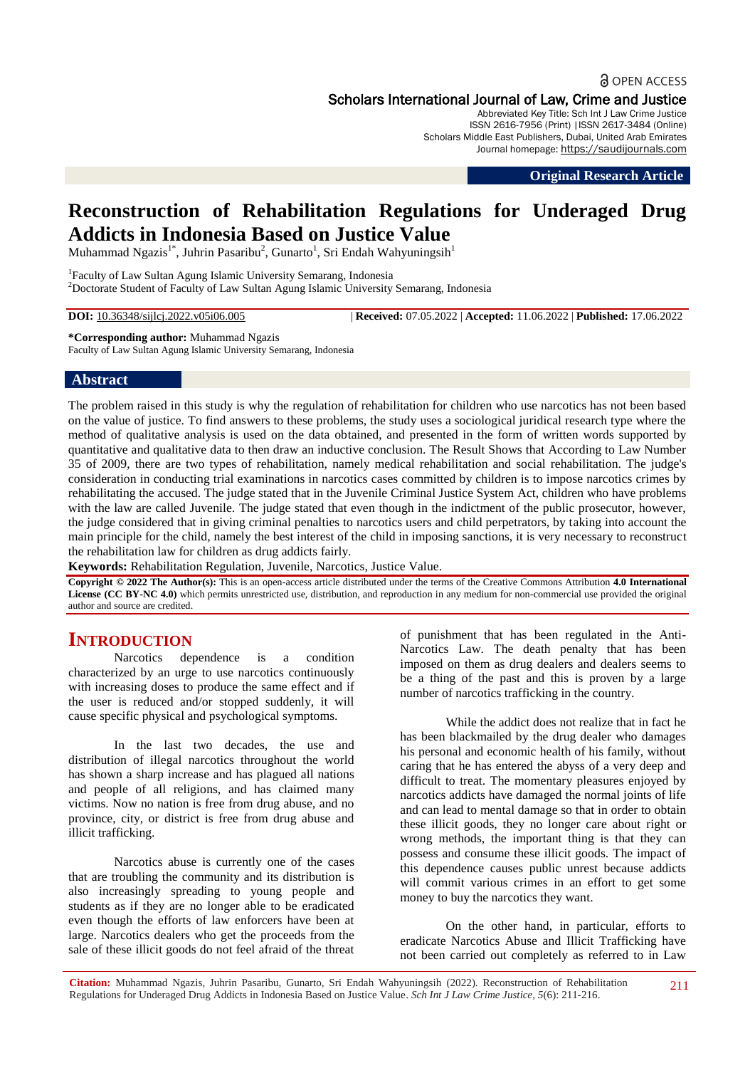## **a** OPEN ACCESS

Scholars International Journal of Law, Crime and Justice

Abbreviated Key Title: Sch Int J Law Crime Justice ISSN 2616-7956 (Print) |ISSN 2617-3484 (Online) Scholars Middle East Publishers, Dubai, United Arab Emirates Journal homepage: https://saudijournals.com

**Original Research Article**

# **Reconstruction of Rehabilitation Regulations for Underaged Drug Addicts in Indonesia Based on Justice Value**

Muhammad Ngazis<sup>1\*</sup>, Juhrin Pasaribu<sup>2</sup>, Gunarto<sup>1</sup>, Sri Endah Wahyuningsih<sup>1</sup>

<sup>1</sup>Faculty of Law Sultan Agung Islamic University Semarang, Indonesia <sup>2</sup>Doctorate Student of Faculty of Law Sultan Agung Islamic University Semarang, Indonesia

**DOI:** 10.36348/sijlcj.2022.v05i06.005 | **Received:** 07.05.2022 | **Accepted:** 11.06.2022 | **Published:** 17.06.2022

**\*Corresponding author:** Muhammad Ngazis

Faculty of Law Sultan Agung Islamic University Semarang, Indonesia

### **Abstract**

The problem raised in this study is why the regulation of rehabilitation for children who use narcotics has not been based on the value of justice. To find answers to these problems, the study uses a sociological juridical research type where the method of qualitative analysis is used on the data obtained, and presented in the form of written words supported by quantitative and qualitative data to then draw an inductive conclusion. The Result Shows that According to Law Number 35 of 2009, there are two types of rehabilitation, namely medical rehabilitation and social rehabilitation. The judge's consideration in conducting trial examinations in narcotics cases committed by children is to impose narcotics crimes by rehabilitating the accused. The judge stated that in the Juvenile Criminal Justice System Act, children who have problems with the law are called Juvenile. The judge stated that even though in the indictment of the public prosecutor, however, the judge considered that in giving criminal penalties to narcotics users and child perpetrators, by taking into account the main principle for the child, namely the best interest of the child in imposing sanctions, it is very necessary to reconstruct the rehabilitation law for children as drug addicts fairly.

**Keywords:** Rehabilitation Regulation, Juvenile, Narcotics, Justice Value.

**Copyright © 2022 The Author(s):** This is an open-access article distributed under the terms of the Creative Commons Attribution **4.0 International License (CC BY-NC 4.0)** which permits unrestricted use, distribution, and reproduction in any medium for non-commercial use provided the original author and source are credited.

# **INTRODUCTION**

Narcotics dependence is a condition characterized by an urge to use narcotics continuously with increasing doses to produce the same effect and if the user is reduced and/or stopped suddenly, it will cause specific physical and psychological symptoms.

In the last two decades, the use and distribution of illegal narcotics throughout the world has shown a sharp increase and has plagued all nations and people of all religions, and has claimed many victims. Now no nation is free from drug abuse, and no province, city, or district is free from drug abuse and illicit trafficking.

Narcotics abuse is currently one of the cases that are troubling the community and its distribution is also increasingly spreading to young people and students as if they are no longer able to be eradicated even though the efforts of law enforcers have been at large. Narcotics dealers who get the proceeds from the sale of these illicit goods do not feel afraid of the threat of punishment that has been regulated in the Anti-Narcotics Law. The death penalty that has been imposed on them as drug dealers and dealers seems to be a thing of the past and this is proven by a large number of narcotics trafficking in the country.

While the addict does not realize that in fact he has been blackmailed by the drug dealer who damages his personal and economic health of his family, without caring that he has entered the abyss of a very deep and difficult to treat. The momentary pleasures enjoyed by narcotics addicts have damaged the normal joints of life and can lead to mental damage so that in order to obtain these illicit goods, they no longer care about right or wrong methods, the important thing is that they can possess and consume these illicit goods. The impact of this dependence causes public unrest because addicts will commit various crimes in an effort to get some money to buy the narcotics they want.

On the other hand, in particular, efforts to eradicate Narcotics Abuse and Illicit Trafficking have not been carried out completely as referred to in Law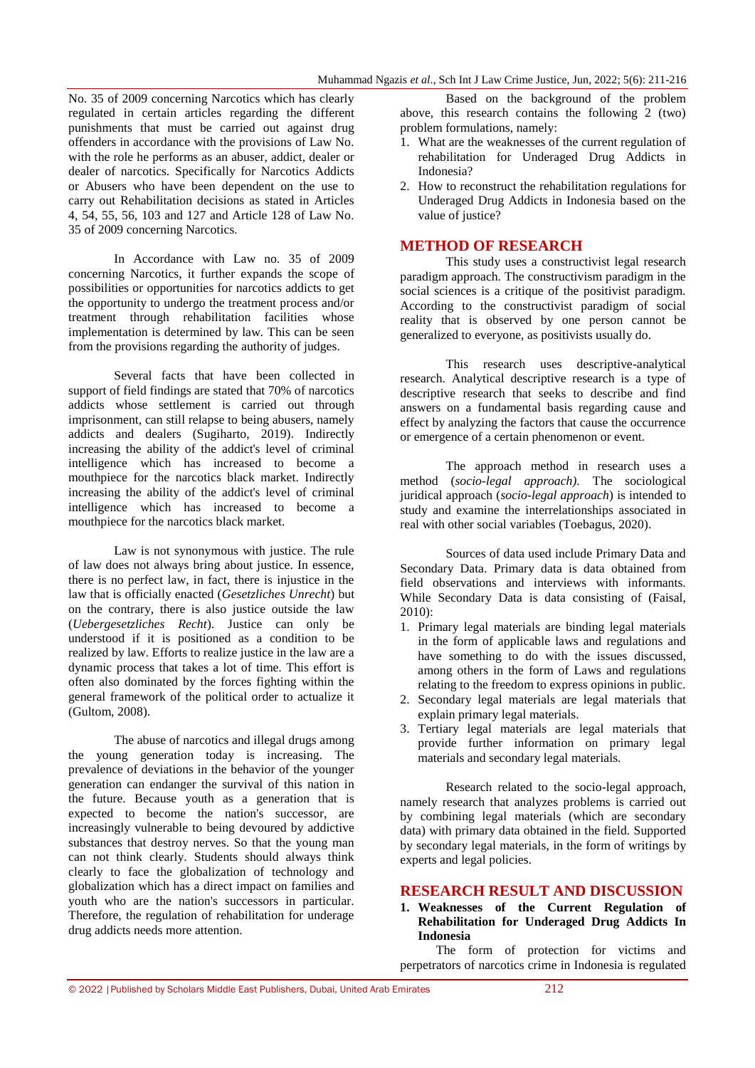No. 35 of 2009 concerning Narcotics which has clearly regulated in certain articles regarding the different punishments that must be carried out against drug offenders in accordance with the provisions of Law No. with the role he performs as an abuser, addict, dealer or dealer of narcotics. Specifically for Narcotics Addicts or Abusers who have been dependent on the use to carry out Rehabilitation decisions as stated in Articles 4, 54, 55, 56, 103 and 127 and Article 128 of Law No. 35 of 2009 concerning Narcotics.

In Accordance with Law no. 35 of 2009 concerning Narcotics, it further expands the scope of possibilities or opportunities for narcotics addicts to get the opportunity to undergo the treatment process and/or treatment through rehabilitation facilities whose implementation is determined by law. This can be seen from the provisions regarding the authority of judges.

Several facts that have been collected in support of field findings are stated that 70% of narcotics addicts whose settlement is carried out through imprisonment, can still relapse to being abusers, namely addicts and dealers (Sugiharto, 2019). Indirectly increasing the ability of the addict's level of criminal intelligence which has increased to become a mouthpiece for the narcotics black market. Indirectly increasing the ability of the addict's level of criminal intelligence which has increased to become a mouthpiece for the narcotics black market.

Law is not synonymous with justice. The rule of law does not always bring about justice. In essence, there is no perfect law, in fact, there is injustice in the law that is officially enacted (*Gesetzliches Unrecht*) but on the contrary, there is also justice outside the law (*Uebergesetzliches Recht*). Justice can only be understood if it is positioned as a condition to be realized by law. Efforts to realize justice in the law are a dynamic process that takes a lot of time. This effort is often also dominated by the forces fighting within the general framework of the political order to actualize it (Gultom, 2008).

The abuse of narcotics and illegal drugs among the young generation today is increasing. The prevalence of deviations in the behavior of the younger generation can endanger the survival of this nation in the future. Because youth as a generation that is expected to become the nation's successor, are increasingly vulnerable to being devoured by addictive substances that destroy nerves. So that the young man can not think clearly. Students should always think clearly to face the globalization of technology and globalization which has a direct impact on families and youth who are the nation's successors in particular. Therefore, the regulation of rehabilitation for underage drug addicts needs more attention.

Based on the background of the problem above, this research contains the following 2 (two) problem formulations, namely:

- 1. What are the weaknesses of the current regulation of rehabilitation for Underaged Drug Addicts in Indonesia?
- 2. How to reconstruct the rehabilitation regulations for Underaged Drug Addicts in Indonesia based on the value of justice?

#### **METHOD OF RESEARCH**

This study uses a constructivist legal research paradigm approach. The constructivism paradigm in the social sciences is a critique of the positivist paradigm. According to the constructivist paradigm of social reality that is observed by one person cannot be generalized to everyone, as positivists usually do.

This research uses descriptive-analytical research. Analytical descriptive research is a type of descriptive research that seeks to describe and find answers on a fundamental basis regarding cause and effect by analyzing the factors that cause the occurrence or emergence of a certain phenomenon or event.

The approach method in research uses a method (*socio-legal approach).* The sociological juridical approach (*socio-legal approach*) is intended to study and examine the interrelationships associated in real with other social variables (Toebagus, 2020).

Sources of data used include Primary Data and Secondary Data. Primary data is data obtained from field observations and interviews with informants. While Secondary Data is data consisting of (Faisal, 2010):

- 1. Primary legal materials are binding legal materials in the form of applicable laws and regulations and have something to do with the issues discussed, among others in the form of Laws and regulations relating to the freedom to express opinions in public.
- 2. Secondary legal materials are legal materials that explain primary legal materials.
- 3. Tertiary legal materials are legal materials that provide further information on primary legal materials and secondary legal materials.

Research related to the socio-legal approach, namely research that analyzes problems is carried out by combining legal materials (which are secondary data) with primary data obtained in the field. Supported by secondary legal materials, in the form of writings by experts and legal policies.

#### **RESEARCH RESULT AND DISCUSSION**

**1. Weaknesses of the Current Regulation of Rehabilitation for Underaged Drug Addicts In Indonesia**

The form of protection for victims and perpetrators of narcotics crime in Indonesia is regulated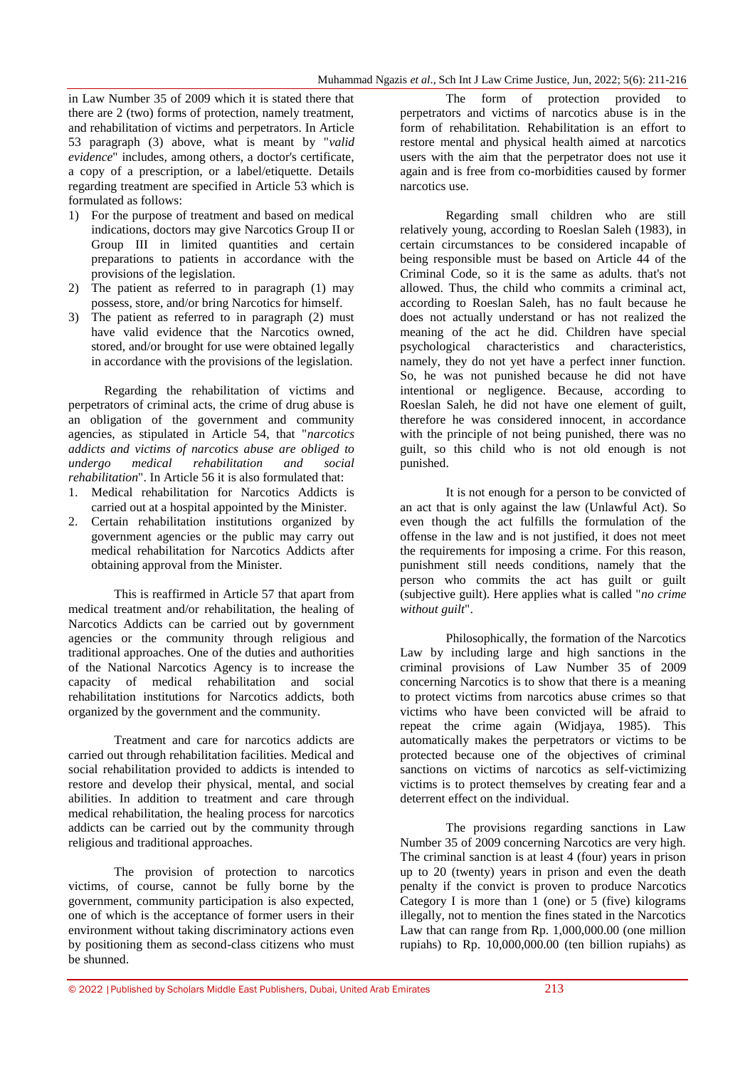in Law Number 35 of 2009 which it is stated there that there are 2 (two) forms of protection, namely treatment, and rehabilitation of victims and perpetrators. In Article 53 paragraph (3) above, what is meant by "*valid evidence*" includes, among others, a doctor's certificate, a copy of a prescription, or a label/etiquette. Details regarding treatment are specified in Article 53 which is formulated as follows:

- 1) For the purpose of treatment and based on medical indications, doctors may give Narcotics Group II or Group III in limited quantities and certain preparations to patients in accordance with the provisions of the legislation.
- 2) The patient as referred to in paragraph (1) may possess, store, and/or bring Narcotics for himself.
- 3) The patient as referred to in paragraph (2) must have valid evidence that the Narcotics owned, stored, and/or brought for use were obtained legally in accordance with the provisions of the legislation.

Regarding the rehabilitation of victims and perpetrators of criminal acts, the crime of drug abuse is an obligation of the government and community agencies, as stipulated in Article 54, that "*narcotics addicts and victims of narcotics abuse are obliged to undergo medical rehabilitation and social rehabilitation*". In Article 56 it is also formulated that:

- 1. Medical rehabilitation for Narcotics Addicts is carried out at a hospital appointed by the Minister.
- 2. Certain rehabilitation institutions organized by government agencies or the public may carry out medical rehabilitation for Narcotics Addicts after obtaining approval from the Minister.

This is reaffirmed in Article 57 that apart from medical treatment and/or rehabilitation, the healing of Narcotics Addicts can be carried out by government agencies or the community through religious and traditional approaches. One of the duties and authorities of the National Narcotics Agency is to increase the capacity of medical rehabilitation and social rehabilitation institutions for Narcotics addicts, both organized by the government and the community.

Treatment and care for narcotics addicts are carried out through rehabilitation facilities. Medical and social rehabilitation provided to addicts is intended to restore and develop their physical, mental, and social abilities. In addition to treatment and care through medical rehabilitation, the healing process for narcotics addicts can be carried out by the community through religious and traditional approaches.

The provision of protection to narcotics victims, of course, cannot be fully borne by the government, community participation is also expected, one of which is the acceptance of former users in their environment without taking discriminatory actions even by positioning them as second-class citizens who must be shunned.

The form of protection provided to perpetrators and victims of narcotics abuse is in the form of rehabilitation. Rehabilitation is an effort to restore mental and physical health aimed at narcotics users with the aim that the perpetrator does not use it again and is free from co-morbidities caused by former narcotics use.

Regarding small children who are still relatively young, according to Roeslan Saleh (1983), in certain circumstances to be considered incapable of being responsible must be based on Article 44 of the Criminal Code, so it is the same as adults. that's not allowed. Thus, the child who commits a criminal act, according to Roeslan Saleh, has no fault because he does not actually understand or has not realized the meaning of the act he did. Children have special psychological characteristics and characteristics, namely, they do not yet have a perfect inner function. So, he was not punished because he did not have intentional or negligence. Because, according to Roeslan Saleh, he did not have one element of guilt, therefore he was considered innocent, in accordance with the principle of not being punished, there was no guilt, so this child who is not old enough is not punished.

It is not enough for a person to be convicted of an act that is only against the law (Unlawful Act). So even though the act fulfills the formulation of the offense in the law and is not justified, it does not meet the requirements for imposing a crime. For this reason, punishment still needs conditions, namely that the person who commits the act has guilt or guilt (subjective guilt). Here applies what is called "*no crime without guilt*".

Philosophically, the formation of the Narcotics Law by including large and high sanctions in the criminal provisions of Law Number 35 of 2009 concerning Narcotics is to show that there is a meaning to protect victims from narcotics abuse crimes so that victims who have been convicted will be afraid to repeat the crime again (Widjaya, 1985). This automatically makes the perpetrators or victims to be protected because one of the objectives of criminal sanctions on victims of narcotics as self-victimizing victims is to protect themselves by creating fear and a deterrent effect on the individual.

The provisions regarding sanctions in Law Number 35 of 2009 concerning Narcotics are very high. The criminal sanction is at least 4 (four) years in prison up to 20 (twenty) years in prison and even the death penalty if the convict is proven to produce Narcotics Category I is more than 1 (one) or 5 (five) kilograms illegally, not to mention the fines stated in the Narcotics Law that can range from Rp. 1,000,000.00 (one million rupiahs) to Rp. 10,000,000.00 (ten billion rupiahs) as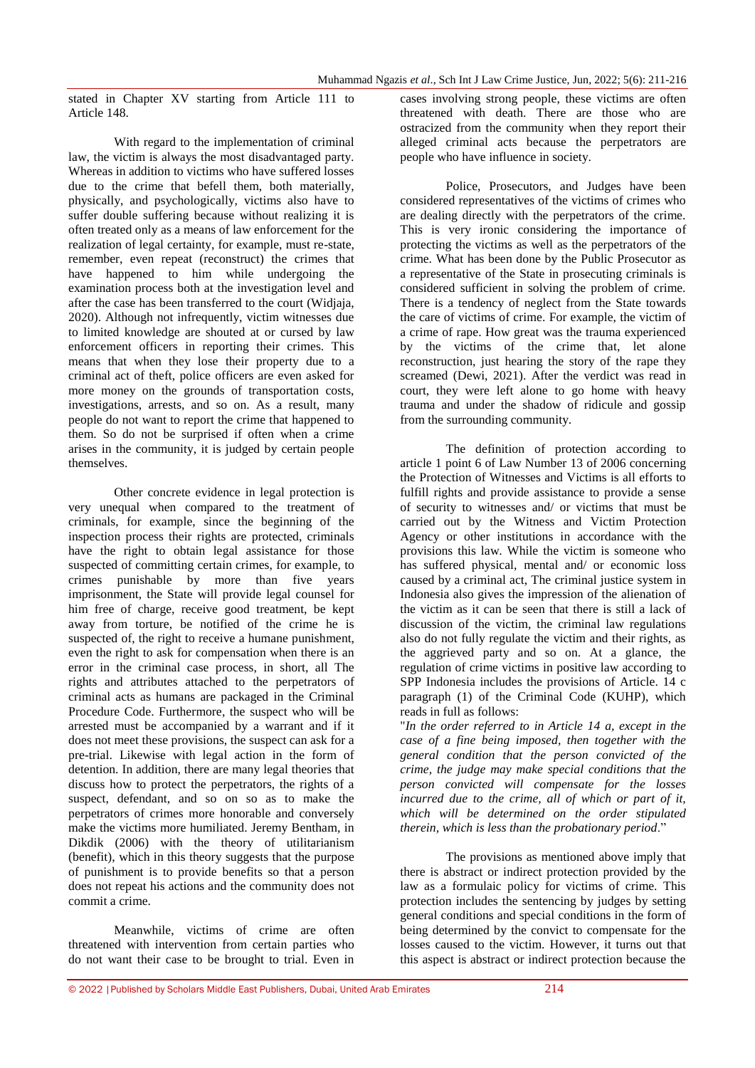stated in Chapter XV starting from Article 111 to Article 148.

With regard to the implementation of criminal law, the victim is always the most disadvantaged party. Whereas in addition to victims who have suffered losses due to the crime that befell them, both materially, physically, and psychologically, victims also have to suffer double suffering because without realizing it is often treated only as a means of law enforcement for the realization of legal certainty, for example, must re-state, remember, even repeat (reconstruct) the crimes that have happened to him while undergoing the examination process both at the investigation level and after the case has been transferred to the court (Widjaja, 2020). Although not infrequently, victim witnesses due to limited knowledge are shouted at or cursed by law enforcement officers in reporting their crimes. This means that when they lose their property due to a criminal act of theft, police officers are even asked for more money on the grounds of transportation costs, investigations, arrests, and so on. As a result, many people do not want to report the crime that happened to them. So do not be surprised if often when a crime arises in the community, it is judged by certain people themselves.

Other concrete evidence in legal protection is very unequal when compared to the treatment of criminals, for example, since the beginning of the inspection process their rights are protected, criminals have the right to obtain legal assistance for those suspected of committing certain crimes, for example, to crimes punishable by more than five years imprisonment, the State will provide legal counsel for him free of charge, receive good treatment, be kept away from torture, be notified of the crime he is suspected of, the right to receive a humane punishment, even the right to ask for compensation when there is an error in the criminal case process, in short, all The rights and attributes attached to the perpetrators of criminal acts as humans are packaged in the Criminal Procedure Code. Furthermore, the suspect who will be arrested must be accompanied by a warrant and if it does not meet these provisions, the suspect can ask for a pre-trial. Likewise with legal action in the form of detention. In addition, there are many legal theories that discuss how to protect the perpetrators, the rights of a suspect, defendant, and so on so as to make the perpetrators of crimes more honorable and conversely make the victims more humiliated. Jeremy Bentham, in Dikdik (2006) with the theory of utilitarianism (benefit), which in this theory suggests that the purpose of punishment is to provide benefits so that a person does not repeat his actions and the community does not commit a crime.

Meanwhile, victims of crime are often threatened with intervention from certain parties who do not want their case to be brought to trial. Even in cases involving strong people, these victims are often threatened with death. There are those who are ostracized from the community when they report their alleged criminal acts because the perpetrators are people who have influence in society.

Police, Prosecutors, and Judges have been considered representatives of the victims of crimes who are dealing directly with the perpetrators of the crime. This is very ironic considering the importance of protecting the victims as well as the perpetrators of the crime. What has been done by the Public Prosecutor as a representative of the State in prosecuting criminals is considered sufficient in solving the problem of crime. There is a tendency of neglect from the State towards the care of victims of crime. For example, the victim of a crime of rape. How great was the trauma experienced by the victims of the crime that, let alone reconstruction, just hearing the story of the rape they screamed (Dewi, 2021). After the verdict was read in court, they were left alone to go home with heavy trauma and under the shadow of ridicule and gossip from the surrounding community.

The definition of protection according to article 1 point 6 of Law Number 13 of 2006 concerning the Protection of Witnesses and Victims is all efforts to fulfill rights and provide assistance to provide a sense of security to witnesses and/ or victims that must be carried out by the Witness and Victim Protection Agency or other institutions in accordance with the provisions this law. While the victim is someone who has suffered physical, mental and/ or economic loss caused by a criminal act, The criminal justice system in Indonesia also gives the impression of the alienation of the victim as it can be seen that there is still a lack of discussion of the victim, the criminal law regulations also do not fully regulate the victim and their rights, as the aggrieved party and so on. At a glance, the regulation of crime victims in positive law according to SPP Indonesia includes the provisions of Article. 14 c paragraph (1) of the Criminal Code (KUHP), which reads in full as follows:

"*In the order referred to in Article 14 a, except in the case of a fine being imposed, then together with the general condition that the person convicted of the crime, the judge may make special conditions that the person convicted will compensate for the losses incurred due to the crime, all of which or part of it, which will be determined on the order stipulated therein, which is less than the probationary period*."

The provisions as mentioned above imply that there is abstract or indirect protection provided by the law as a formulaic policy for victims of crime. This protection includes the sentencing by judges by setting general conditions and special conditions in the form of being determined by the convict to compensate for the losses caused to the victim. However, it turns out that this aspect is abstract or indirect protection because the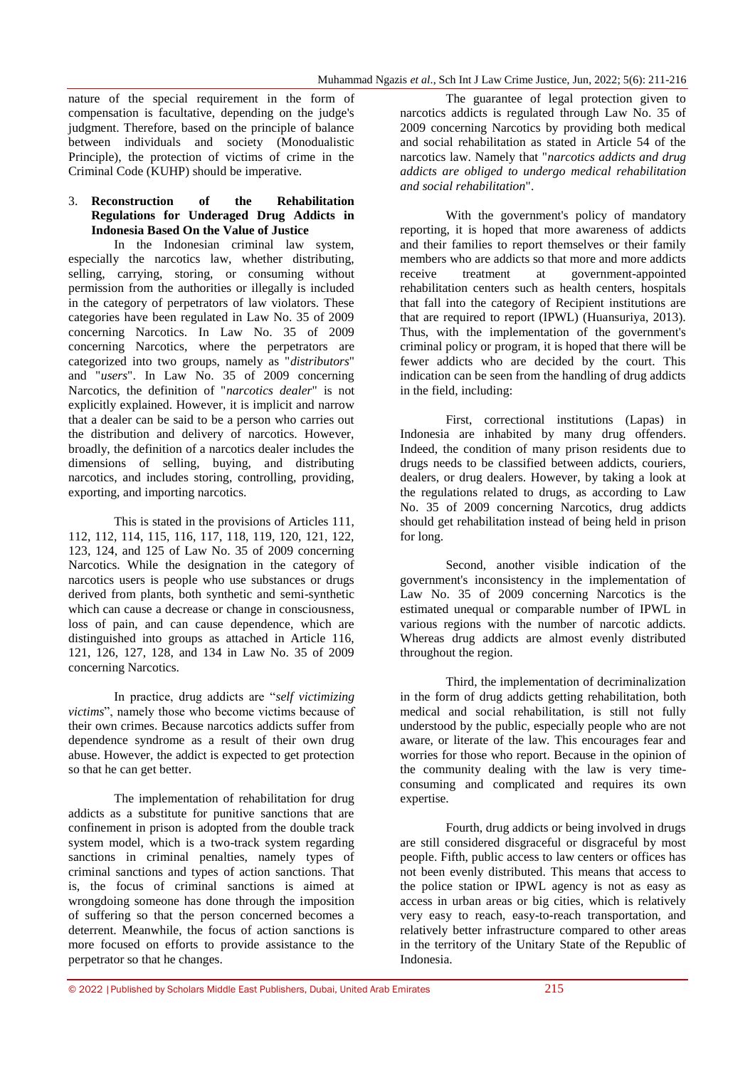nature of the special requirement in the form of compensation is facultative, depending on the judge's judgment. Therefore, based on the principle of balance between individuals and society (Monodualistic Principle), the protection of victims of crime in the Criminal Code (KUHP) should be imperative.

#### 3. **Reconstruction of the Rehabilitation Regulations for Underaged Drug Addicts in Indonesia Based On the Value of Justice**

In the Indonesian criminal law system, especially the narcotics law, whether distributing, selling, carrying, storing, or consuming without permission from the authorities or illegally is included in the category of perpetrators of law violators. These categories have been regulated in Law No. 35 of 2009 concerning Narcotics. In Law No. 35 of 2009 concerning Narcotics, where the perpetrators are categorized into two groups, namely as "*distributors*" and "*users*". In Law No. 35 of 2009 concerning Narcotics, the definition of "*narcotics dealer*" is not explicitly explained. However, it is implicit and narrow that a dealer can be said to be a person who carries out the distribution and delivery of narcotics. However, broadly, the definition of a narcotics dealer includes the dimensions of selling, buying, and distributing narcotics, and includes storing, controlling, providing, exporting, and importing narcotics.

This is stated in the provisions of Articles 111, 112, 112, 114, 115, 116, 117, 118, 119, 120, 121, 122, 123, 124, and 125 of Law No. 35 of 2009 concerning Narcotics. While the designation in the category of narcotics users is people who use substances or drugs derived from plants, both synthetic and semi-synthetic which can cause a decrease or change in consciousness. loss of pain, and can cause dependence, which are distinguished into groups as attached in Article 116, 121, 126, 127, 128, and 134 in Law No. 35 of 2009 concerning Narcotics.

In practice, drug addicts are "*self victimizing victims*", namely those who become victims because of their own crimes. Because narcotics addicts suffer from dependence syndrome as a result of their own drug abuse. However, the addict is expected to get protection so that he can get better.

The implementation of rehabilitation for drug addicts as a substitute for punitive sanctions that are confinement in prison is adopted from the double track system model, which is a two-track system regarding sanctions in criminal penalties, namely types of criminal sanctions and types of action sanctions. That is, the focus of criminal sanctions is aimed at wrongdoing someone has done through the imposition of suffering so that the person concerned becomes a deterrent. Meanwhile, the focus of action sanctions is more focused on efforts to provide assistance to the perpetrator so that he changes.

The guarantee of legal protection given to narcotics addicts is regulated through Law No. 35 of 2009 concerning Narcotics by providing both medical and social rehabilitation as stated in Article 54 of the narcotics law. Namely that "*narcotics addicts and drug addicts are obliged to undergo medical rehabilitation and social rehabilitation*".

With the government's policy of mandatory reporting, it is hoped that more awareness of addicts and their families to report themselves or their family members who are addicts so that more and more addicts receive treatment at government-appointed rehabilitation centers such as health centers, hospitals that fall into the category of Recipient institutions are that are required to report (IPWL) (Huansuriya, 2013). Thus, with the implementation of the government's criminal policy or program, it is hoped that there will be fewer addicts who are decided by the court. This indication can be seen from the handling of drug addicts in the field, including:

First, correctional institutions (Lapas) in Indonesia are inhabited by many drug offenders. Indeed, the condition of many prison residents due to drugs needs to be classified between addicts, couriers, dealers, or drug dealers. However, by taking a look at the regulations related to drugs, as according to Law No. 35 of 2009 concerning Narcotics, drug addicts should get rehabilitation instead of being held in prison for long.

Second, another visible indication of the government's inconsistency in the implementation of Law No. 35 of 2009 concerning Narcotics is the estimated unequal or comparable number of IPWL in various regions with the number of narcotic addicts. Whereas drug addicts are almost evenly distributed throughout the region.

Third, the implementation of decriminalization in the form of drug addicts getting rehabilitation, both medical and social rehabilitation, is still not fully understood by the public, especially people who are not aware, or literate of the law. This encourages fear and worries for those who report. Because in the opinion of the community dealing with the law is very timeconsuming and complicated and requires its own expertise.

Fourth, drug addicts or being involved in drugs are still considered disgraceful or disgraceful by most people. Fifth, public access to law centers or offices has not been evenly distributed. This means that access to the police station or IPWL agency is not as easy as access in urban areas or big cities, which is relatively very easy to reach, easy-to-reach transportation, and relatively better infrastructure compared to other areas in the territory of the Unitary State of the Republic of Indonesia.